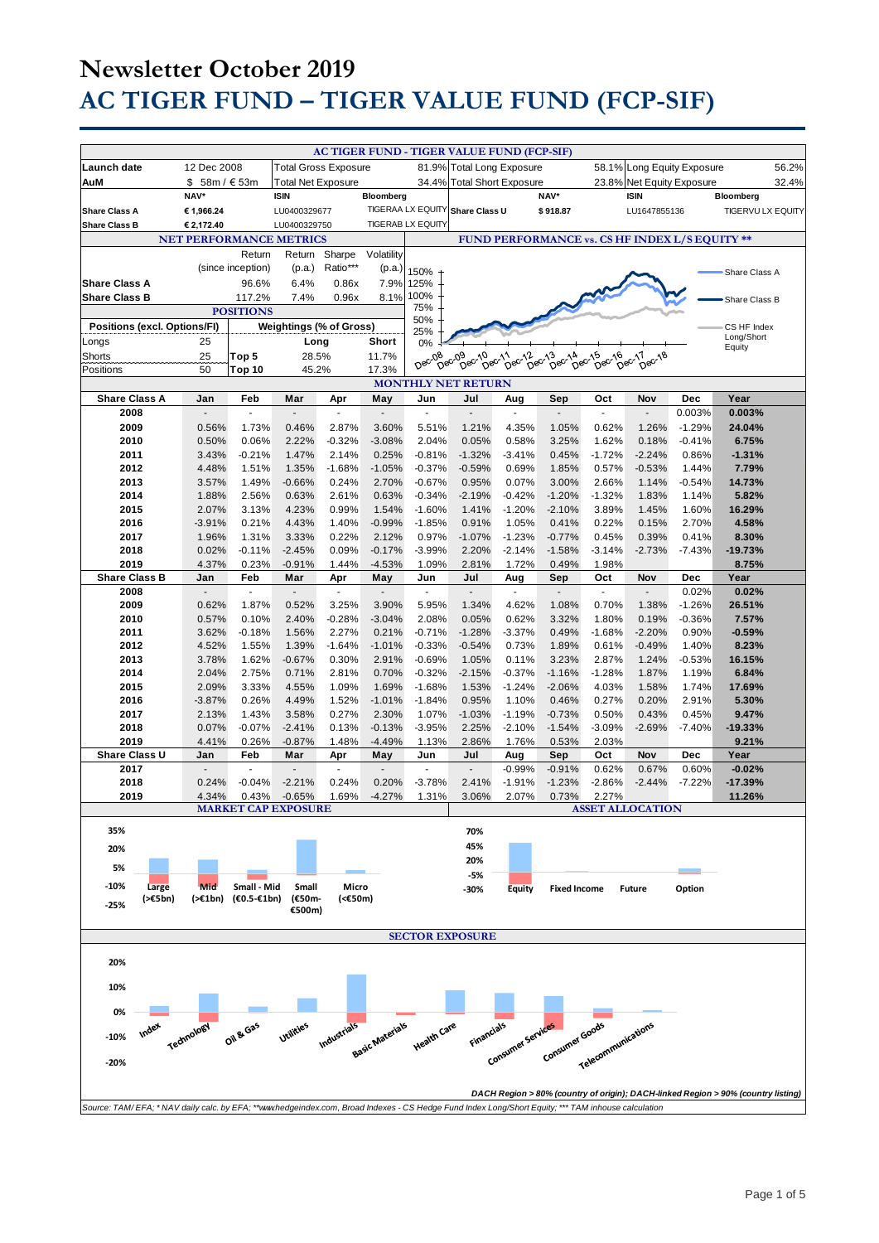|                                                                                                                                                    |                                |                   |                             |                          |                             |                          | AC TIGER FUND - TIGER VALUE FUND (FCP-SIF) |                                                |                                                          |                                  |                       |                            |                                                                                   |
|----------------------------------------------------------------------------------------------------------------------------------------------------|--------------------------------|-------------------|-----------------------------|--------------------------|-----------------------------|--------------------------|--------------------------------------------|------------------------------------------------|----------------------------------------------------------|----------------------------------|-----------------------|----------------------------|-----------------------------------------------------------------------------------|
| Launch date                                                                                                                                        | 12 Dec 2008                    |                   | <b>Total Gross Exposure</b> |                          |                             |                          | 81.9% Total Long Exposure                  |                                                |                                                          |                                  |                       | 58.1% Long Equity Exposure | 56.2%                                                                             |
| AuM                                                                                                                                                | \$ 58m / € 53m                 |                   | <b>Total Net Exposure</b>   |                          |                             |                          | 34.4% Total Short Exposure                 |                                                |                                                          |                                  |                       | 23.8% Net Equity Exposure  | 32.4%                                                                             |
|                                                                                                                                                    | NAV*                           |                   | <b>ISIN</b>                 |                          | Bloomberg                   |                          |                                            |                                                | NAV*                                                     |                                  | <b>ISIN</b>           |                            | Bloomberg                                                                         |
| <b>Share Class A</b>                                                                                                                               | € 1,966.24                     |                   | LU0400329677                |                          |                             |                          | TIGERAA LX EQUITY Share Class U            |                                                | \$918.87                                                 |                                  | LU1647855136          |                            | TIGERVU LX EQUITY                                                                 |
| <b>Share Class B</b>                                                                                                                               | € 2,172.40                     |                   | LU0400329750                |                          |                             | <b>TIGERAB LX EQUITY</b> |                                            |                                                |                                                          |                                  |                       |                            |                                                                                   |
|                                                                                                                                                    | <b>NET PERFORMANCE METRICS</b> |                   |                             |                          |                             |                          |                                            | FUND PERFORMANCE vs. CS HF INDEX L/S EQUITY ** |                                                          |                                  |                       |                            |                                                                                   |
|                                                                                                                                                    |                                | Return            | Return                      | Sharpe<br>Ratio***       | Volatility                  |                          |                                            |                                                |                                                          |                                  |                       |                            |                                                                                   |
| <b>Share Class A</b>                                                                                                                               |                                | (since inception) | (p.a.)                      |                          | (p.a.)                      | 150%                     |                                            |                                                |                                                          |                                  |                       |                            | Share Class A                                                                     |
| <b>Share Class B</b>                                                                                                                               |                                | 96.6%<br>117.2%   | 6.4%<br>7.4%                | 0.86x<br>0.96x           | 7.9%<br>8.1%                | 125%<br>100%             |                                            |                                                |                                                          |                                  |                       |                            |                                                                                   |
|                                                                                                                                                    |                                | <b>POSITIONS</b>  |                             |                          |                             | 75%                      |                                            |                                                |                                                          |                                  |                       |                            | Share Class B                                                                     |
| 50%<br><b>Positions (excl. Options/FI)</b><br><b>Weightings (% of Gross)</b><br>CS HF Index<br>25%                                                 |                                |                   |                             |                          |                             |                          |                                            |                                                |                                                          |                                  |                       |                            |                                                                                   |
| Longs                                                                                                                                              | 25                             |                   | Long                        |                          | Short                       | 0%                       |                                            |                                                |                                                          |                                  |                       |                            | Long/Short<br>Equity                                                              |
| <b>Shorts</b>                                                                                                                                      | 25                             | Top 5             | 28.5%                       |                          | 11.7%                       | Dec-08                   | Dec-09<br>$Dec$ -10                        | DeC <sub>12</sub><br>Dec <sub>11</sub>         | $\tilde{D}^{ec}$ <sup>13</sup><br>$D^{BC}$ <sup>14</sup> | DeC <sub>15</sub><br>$Dec^{-16}$ | $Dec^{-11}$<br>Dec-18 |                            |                                                                                   |
| Positions                                                                                                                                          | 50                             | Top 10            | 45.2%                       |                          | 17.3%                       |                          |                                            |                                                |                                                          |                                  |                       |                            |                                                                                   |
|                                                                                                                                                    |                                |                   |                             |                          |                             |                          | <b>MONTHLY NET RETURN</b>                  |                                                |                                                          |                                  |                       |                            |                                                                                   |
| <b>Share Class A</b>                                                                                                                               | Jan                            | Feb               | Mar                         | Apr                      | May                         | Jun                      | Jul                                        | Aug                                            | Sep                                                      | Oct                              | Nov                   | Dec                        | Year                                                                              |
| 2008                                                                                                                                               | $\blacksquare$                 | $\sim$            | ٠                           | $\overline{\phantom{a}}$ | $\blacksquare$              | $\sim$                   | $\blacksquare$                             | $\overline{\phantom{a}}$                       | $\blacksquare$                                           | $\sim$                           | $\blacksquare$        | 0.003%                     | 0.003%                                                                            |
| 2009<br>2010                                                                                                                                       | 0.56%<br>0.50%                 | 1.73%<br>0.06%    | 0.46%<br>2.22%              | 2.87%<br>$-0.32%$        | 3.60%<br>$-3.08%$           | 5.51%<br>2.04%           | 1.21%<br>0.05%                             | 4.35%<br>0.58%                                 | 1.05%<br>3.25%                                           | 0.62%<br>1.62%                   | 1.26%<br>0.18%        | $-1.29%$<br>$-0.41%$       | 24.04%<br>6.75%                                                                   |
| 2011                                                                                                                                               | 3.43%                          | $-0.21%$          | 1.47%                       | 2.14%                    | 0.25%                       | $-0.81%$                 | $-1.32%$                                   | $-3.41%$                                       | 0.45%                                                    | $-1.72%$                         | $-2.24%$              | 0.86%                      | $-1.31%$                                                                          |
| 2012                                                                                                                                               | 4.48%                          | 1.51%             | 1.35%                       | $-1.68%$                 | $-1.05%$                    | $-0.37%$                 | $-0.59%$                                   | 0.69%                                          | 1.85%                                                    | 0.57%                            | $-0.53%$              | 1.44%                      | 7.79%                                                                             |
| 2013                                                                                                                                               | 3.57%                          | 1.49%             | $-0.66%$                    | 0.24%                    | 2.70%                       | $-0.67%$                 | 0.95%                                      | 0.07%                                          | 3.00%                                                    | 2.66%                            | 1.14%                 | $-0.54%$                   | 14.73%                                                                            |
| 2014                                                                                                                                               | 1.88%                          | 2.56%             | 0.63%                       | 2.61%                    | 0.63%                       | $-0.34%$                 | $-2.19%$                                   | $-0.42%$                                       | $-1.20%$                                                 | $-1.32%$                         | 1.83%                 | 1.14%                      | 5.82%                                                                             |
| 2015                                                                                                                                               | 2.07%                          | 3.13%             | 4.23%                       | 0.99%                    | 1.54%                       | $-1.60%$                 | 1.41%                                      | $-1.20%$                                       | $-2.10%$                                                 | 3.89%                            | 1.45%                 | 1.60%                      | 16.29%                                                                            |
| 2016                                                                                                                                               | $-3.91%$<br>1.96%              | 0.21%<br>1.31%    | 4.43%<br>3.33%              | 1.40%<br>0.22%           | $-0.99%$<br>2.12%           | $-1.85%$<br>0.97%        | 0.91%<br>$-1.07%$                          | 1.05%<br>$-1.23%$                              | 0.41%<br>$-0.77%$                                        | 0.22%<br>0.45%                   | 0.15%<br>0.39%        | 2.70%<br>0.41%             | 4.58%<br>8.30%                                                                    |
| 2017<br>2018                                                                                                                                       | 0.02%                          | $-0.11%$          | $-2.45%$                    | 0.09%                    | $-0.17%$                    | $-3.99%$                 | 2.20%                                      | $-2.14%$                                       | $-1.58%$                                                 | $-3.14%$                         | $-2.73%$              | $-7.43%$                   | $-19.73%$                                                                         |
| 2019                                                                                                                                               | 4.37%                          | 0.23%             | $-0.91%$                    | 1.44%                    | $-4.53%$                    | 1.09%                    | 2.81%                                      | 1.72%                                          | 0.49%                                                    | 1.98%                            |                       |                            | 8.75%                                                                             |
| <b>Share Class B</b>                                                                                                                               | Jan                            | Feb               | Mar                         | Apr                      | May                         | Jun                      | Jul                                        | Aug                                            | Sep                                                      | Oct                              | Nov                   | Dec                        | Year                                                                              |
| 2008                                                                                                                                               | $\overline{\phantom{a}}$       | $\omega$          |                             | $\sim$                   | ÷,                          | $\sim$                   |                                            | $\mathbf{r}$                                   | $\sim$                                                   |                                  |                       | 0.02%                      | 0.02%                                                                             |
| 2009                                                                                                                                               | 0.62%                          | 1.87%             | 0.52%                       | 3.25%                    | 3.90%                       | 5.95%                    | 1.34%                                      | 4.62%                                          | 1.08%                                                    | 0.70%                            | 1.38%                 | $-1.26%$                   | 26.51%                                                                            |
| 2010<br>2011                                                                                                                                       | 0.57%<br>3.62%                 | 0.10%<br>$-0.18%$ | 2.40%<br>1.56%              | $-0.28%$<br>2.27%        | $-3.04%$<br>0.21%           | 2.08%<br>$-0.71%$        | 0.05%<br>$-1.28%$                          | 0.62%<br>$-3.37%$                              | 3.32%                                                    | 1.80%<br>$-1.68%$                | 0.19%<br>$-2.20%$     | $-0.36%$<br>0.90%          | 7.57%<br>$-0.59%$                                                                 |
| 2012                                                                                                                                               | 4.52%                          | 1.55%             | 1.39%                       | $-1.64%$                 | $-1.01%$                    | $-0.33%$                 | $-0.54%$                                   | 0.73%                                          | 0.49%<br>1.89%                                           | 0.61%                            | $-0.49%$              | 1.40%                      | 8.23%                                                                             |
| 2013                                                                                                                                               | 3.78%                          | 1.62%             | $-0.67%$                    | 0.30%                    | 2.91%                       | $-0.69%$                 | 1.05%                                      | 0.11%                                          | 3.23%                                                    | 2.87%                            | 1.24%                 | $-0.53%$                   | 16.15%                                                                            |
| 2014                                                                                                                                               | 2.04%                          | 2.75%             | 0.71%                       | 2.81%                    | 0.70%                       | $-0.32%$                 | $-2.15%$                                   | $-0.37%$                                       | $-1.16%$                                                 | $-1.28%$                         | 1.87%                 | 1.19%                      | 6.84%                                                                             |
| 2015                                                                                                                                               | 2.09%                          | 3.33%             | 4.55%                       | 1.09%                    | 1.69%                       | $-1.68%$                 | 1.53%                                      | $-1.24%$                                       | $-2.06%$                                                 | 4.03%                            | 1.58%                 | 1.74%                      | 17.69%                                                                            |
| 2016                                                                                                                                               | $-3.87%$                       | 0.26%             | 4.49%                       | 1.52%                    | $-1.01%$                    | $-1.84%$                 | 0.95%                                      | 1.10%                                          | 0.46%                                                    | 0.27%                            | 0.20%                 | 2.91%                      | 5.30%                                                                             |
| 2017<br>2018                                                                                                                                       | 2.13%<br>0.07%                 | 1.43%<br>$-0.07%$ | 3.58%                       | 0.27%<br>0.13%           | 2.30%<br>$-0.13%$           | 1.07%<br>$-3.95%$        | $-1.03%$                                   | $-1.19%$                                       | $-0.73%$<br>$-1.54%$                                     | 0.50%<br>$-3.09%$                | 0.43%                 | 0.45%                      | 9.47%                                                                             |
| 2019                                                                                                                                               | 4.41%                          | 0.26%             | $-2.41%$<br>$-0.87%$        | 1.48%                    | $-4.49%$                    | 1.13%                    | 2.25%<br>2.86%                             | $-2.10%$<br>1.76%                              | 0.53%                                                    | 2.03%                            | $-2.69%$              | $-7.40%$                   | $-19.33%$<br>9.21%                                                                |
| Share Class U                                                                                                                                      | Jan                            | Feb               | Mar                         | Apr                      | May                         | Jun                      | Jul                                        | Aug                                            | Sep                                                      | Oct                              | Nov                   | Dec                        | Year                                                                              |
| 2017                                                                                                                                               |                                |                   |                             |                          |                             |                          |                                            | $-0.99%$                                       | $-0.91%$                                                 | 0.62%                            | 0.67%                 | 0.60%                      | $-0.02%$                                                                          |
| 2018                                                                                                                                               | 0.24%                          | $-0.04%$          | $-2.21%$                    | 0.24%                    | 0.20%                       | $-3.78%$                 | 2.41%                                      | $-1.91%$                                       | $-1.23%$                                                 | $-2.86%$                         | $-2.44%$              | $-7.22%$                   | $-17.39%$                                                                         |
| 2019                                                                                                                                               | 4.34%                          | 0.43%             | $-0.65%$                    | 1.69%                    | $-4.27%$                    | 1.31%                    | 3.06%                                      | 2.07%                                          | 0.73%                                                    | 2.27%                            |                       |                            | 11.26%                                                                            |
|                                                                                                                                                    |                                |                   | <b>MARKET CAP EXPOSURE</b>  |                          |                             |                          |                                            |                                                |                                                          | <b>ASSET ALLOCATION</b>          |                       |                            |                                                                                   |
| 35%                                                                                                                                                |                                |                   |                             |                          |                             |                          | 70%                                        |                                                |                                                          |                                  |                       |                            |                                                                                   |
| 20%                                                                                                                                                |                                |                   |                             |                          |                             |                          | 45%                                        |                                                |                                                          |                                  |                       |                            |                                                                                   |
| 5%                                                                                                                                                 |                                |                   |                             |                          |                             |                          | 20%                                        |                                                |                                                          |                                  |                       |                            |                                                                                   |
| $-10%$<br>Large                                                                                                                                    | Mid                            | Small - Mid       | Small                       | Micro                    |                             |                          | -5%                                        |                                                |                                                          |                                  |                       |                            |                                                                                   |
| $(\geq \epsilon 5bn)$<br>$-25%$                                                                                                                    | (>€1bn)                        | $(€0.5-€1bn)$     | (€50m-                      | (<€50m)                  |                             |                          | -30%                                       | Equity                                         | <b>Fixed Income</b>                                      |                                  | <b>Future</b>         | Option                     |                                                                                   |
|                                                                                                                                                    |                                |                   | €500m)                      |                          |                             |                          |                                            |                                                |                                                          |                                  |                       |                            |                                                                                   |
|                                                                                                                                                    |                                |                   |                             |                          |                             |                          | <b>SECTOR EXPOSURE</b>                     |                                                |                                                          |                                  |                       |                            |                                                                                   |
|                                                                                                                                                    |                                |                   |                             |                          |                             |                          |                                            |                                                |                                                          |                                  |                       |                            |                                                                                   |
| 20%                                                                                                                                                |                                |                   |                             |                          |                             |                          |                                            |                                                |                                                          |                                  |                       |                            |                                                                                   |
| 10%                                                                                                                                                |                                |                   |                             |                          |                             |                          |                                            |                                                |                                                          |                                  |                       |                            |                                                                                   |
|                                                                                                                                                    |                                |                   |                             |                          |                             |                          |                                            |                                                |                                                          |                                  |                       |                            |                                                                                   |
| 0%                                                                                                                                                 |                                |                   |                             |                          |                             |                          |                                            |                                                |                                                          |                                  |                       |                            |                                                                                   |
| Index                                                                                                                                              |                                | Oil & Gas         | Utilities                   |                          |                             |                          |                                            |                                                |                                                          |                                  |                       |                            |                                                                                   |
| $-10%$                                                                                                                                             | Technology                     |                   |                             |                          | Industrials Basic Materials | <b>Health Care</b>       | <b>Financials</b>                          |                                                |                                                          |                                  |                       |                            |                                                                                   |
| $-20%$                                                                                                                                             |                                |                   |                             |                          |                             |                          |                                            | Consumer services                              | Consumer Goods                                           | Telecommunications               |                       |                            |                                                                                   |
|                                                                                                                                                    |                                |                   |                             |                          |                             |                          |                                            |                                                |                                                          |                                  |                       |                            |                                                                                   |
|                                                                                                                                                    |                                |                   |                             |                          |                             |                          |                                            |                                                |                                                          |                                  |                       |                            | DACH Region > 80% (country of origin); DACH-linked Region > 90% (country listing) |
| Source: TAM/EFA; *NAV daily calc. by EFA; **www.hedgeindex.com, Broad Indexes - CS Hedge Fund Index Long/Short Equity; *** TAM inhouse calculation |                                |                   |                             |                          |                             |                          |                                            |                                                |                                                          |                                  |                       |                            |                                                                                   |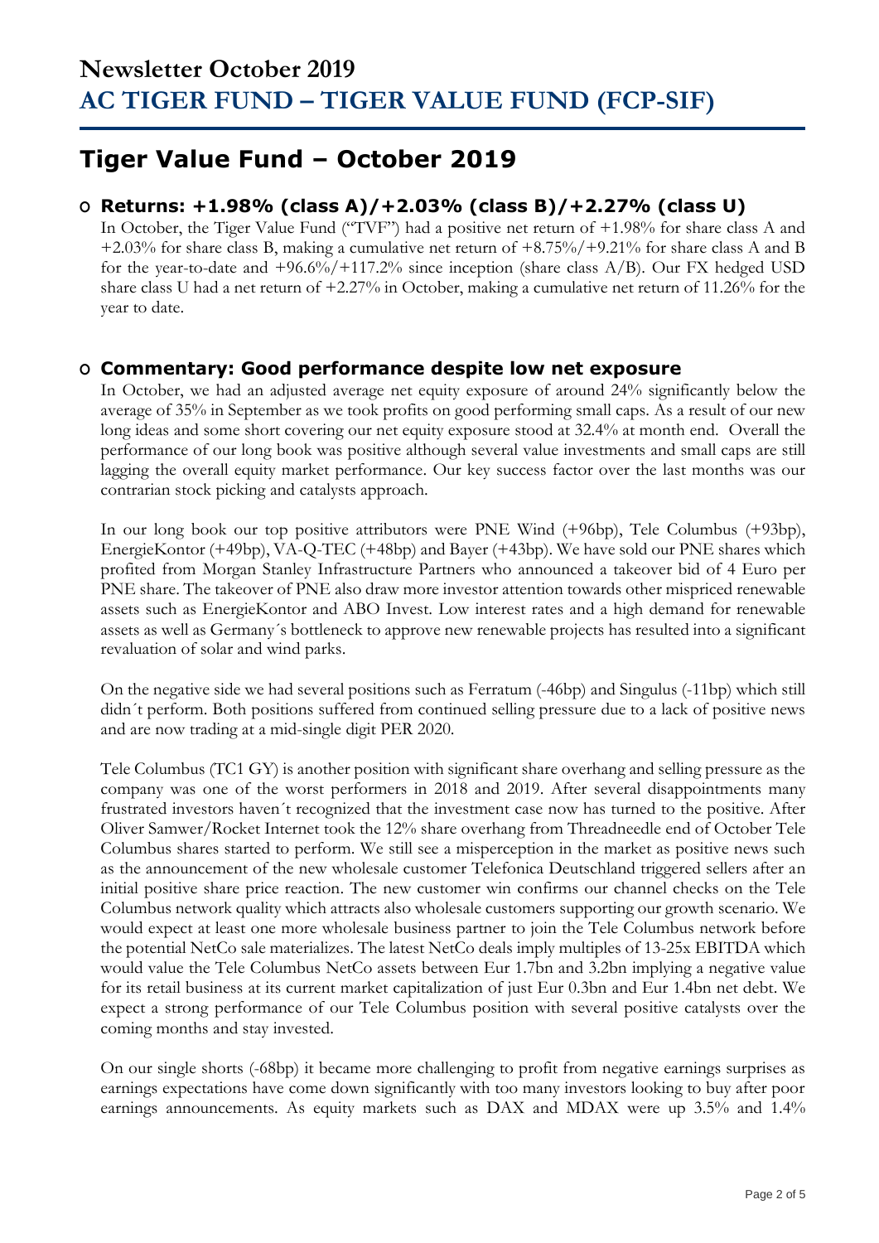### **Tiger Value Fund – October 2019**

### **O Returns: +1.98% (class A)/+2.03% (class B)/+2.27% (class U)**

In October, the Tiger Value Fund ("TVF") had a positive net return of +1.98% for share class A and +2.03% for share class B, making a cumulative net return of +8.75%/+9.21% for share class A and B for the year-to-date and  $+96.6\sqrt[6]{+117.2\%}$  since inception (share class A/B). Our FX hedged USD share class U had a net return of +2.27% in October, making a cumulative net return of 11.26% for the year to date.

### **O Commentary: Good performance despite low net exposure**

In October, we had an adjusted average net equity exposure of around 24% significantly below the average of 35% in September as we took profits on good performing small caps. As a result of our new long ideas and some short covering our net equity exposure stood at 32.4% at month end. Overall the performance of our long book was positive although several value investments and small caps are still lagging the overall equity market performance. Our key success factor over the last months was our contrarian stock picking and catalysts approach.

In our long book our top positive attributors were PNE Wind (+96bp), Tele Columbus (+93bp), EnergieKontor (+49bp), VA-Q-TEC (+48bp) and Bayer (+43bp). We have sold our PNE shares which profited from Morgan Stanley Infrastructure Partners who announced a takeover bid of 4 Euro per PNE share. The takeover of PNE also draw more investor attention towards other mispriced renewable assets such as EnergieKontor and ABO Invest. Low interest rates and a high demand for renewable assets as well as Germany´s bottleneck to approve new renewable projects has resulted into a significant revaluation of solar and wind parks.

On the negative side we had several positions such as Ferratum (-46bp) and Singulus (-11bp) which still didn´t perform. Both positions suffered from continued selling pressure due to a lack of positive news and are now trading at a mid-single digit PER 2020.

Tele Columbus (TC1 GY) is another position with significant share overhang and selling pressure as the company was one of the worst performers in 2018 and 2019. After several disappointments many frustrated investors haven´t recognized that the investment case now has turned to the positive. After Oliver Samwer/Rocket Internet took the 12% share overhang from Threadneedle end of October Tele Columbus shares started to perform. We still see a misperception in the market as positive news such as the announcement of the new wholesale customer Telefonica Deutschland triggered sellers after an initial positive share price reaction. The new customer win confirms our channel checks on the Tele Columbus network quality which attracts also wholesale customers supporting our growth scenario. We would expect at least one more wholesale business partner to join the Tele Columbus network before the potential NetCo sale materializes. The latest NetCo deals imply multiples of 13-25x EBITDA which would value the Tele Columbus NetCo assets between Eur 1.7bn and 3.2bn implying a negative value for its retail business at its current market capitalization of just Eur 0.3bn and Eur 1.4bn net debt. We expect a strong performance of our Tele Columbus position with several positive catalysts over the coming months and stay invested.

On our single shorts (-68bp) it became more challenging to profit from negative earnings surprises as earnings expectations have come down significantly with too many investors looking to buy after poor earnings announcements. As equity markets such as DAX and MDAX were up 3.5% and 1.4%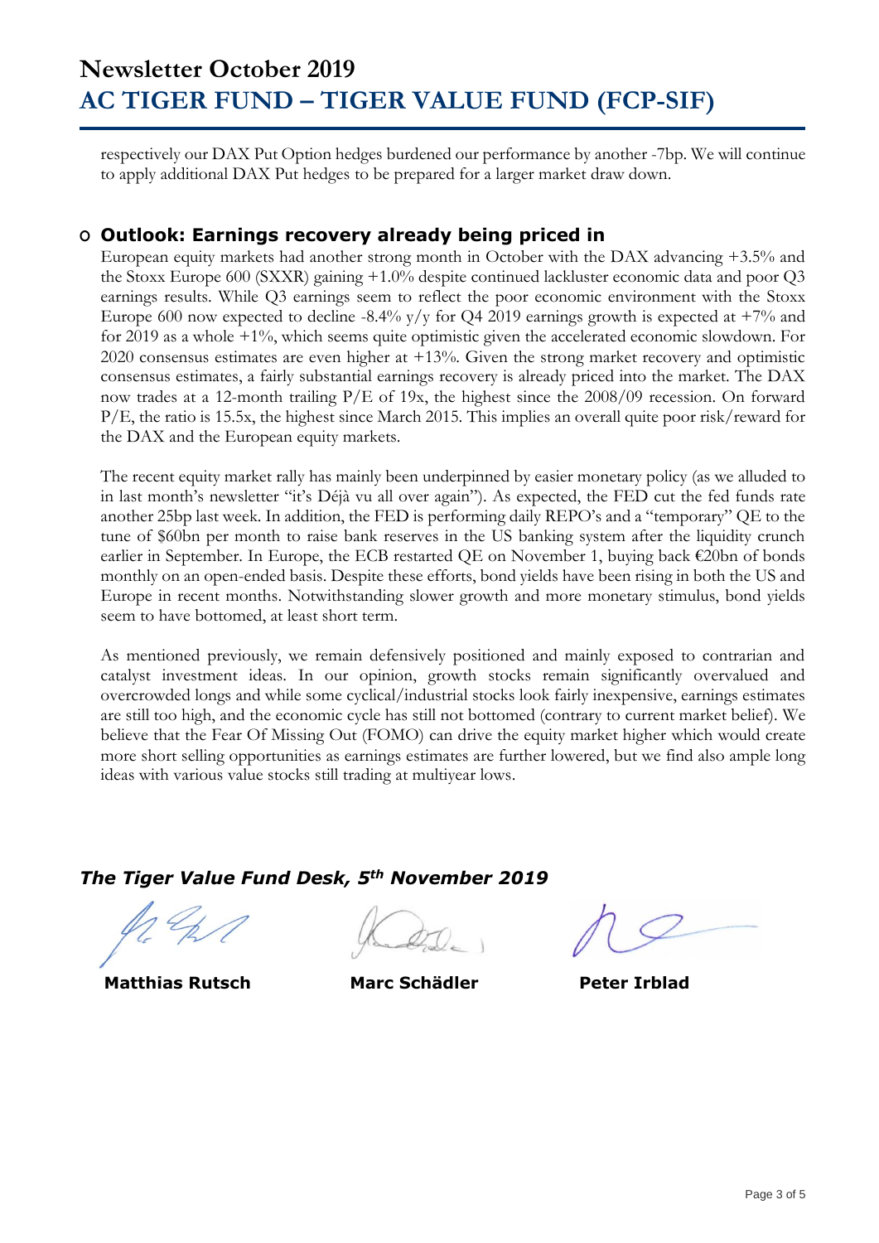respectively our DAX Put Option hedges burdened our performance by another -7bp. We will continue to apply additional DAX Put hedges to be prepared for a larger market draw down.

#### **O Outlook: Earnings recovery already being priced in**

European equity markets had another strong month in October with the DAX advancing +3.5% and the Stoxx Europe 600 (SXXR) gaining +1.0% despite continued lackluster economic data and poor Q3 earnings results. While Q3 earnings seem to reflect the poor economic environment with the Stoxx Europe 600 now expected to decline -8.4%  $y/y$  for Q4 2019 earnings growth is expected at +7% and for 2019 as a whole +1%, which seems quite optimistic given the accelerated economic slowdown. For 2020 consensus estimates are even higher at +13%. Given the strong market recovery and optimistic consensus estimates, a fairly substantial earnings recovery is already priced into the market. The DAX now trades at a 12-month trailing P/E of 19x, the highest since the 2008/09 recession. On forward P/E, the ratio is 15.5x, the highest since March 2015. This implies an overall quite poor risk/reward for the DAX and the European equity markets.

The recent equity market rally has mainly been underpinned by easier monetary policy (as we alluded to in last month's newsletter "it's Déjà vu all over again"). As expected, the FED cut the fed funds rate another 25bp last week. In addition, the FED is performing daily REPO's and a "temporary" QE to the tune of \$60bn per month to raise bank reserves in the US banking system after the liquidity crunch earlier in September. In Europe, the ECB restarted QE on November 1, buying back €20bn of bonds monthly on an open-ended basis. Despite these efforts, bond yields have been rising in both the US and Europe in recent months. Notwithstanding slower growth and more monetary stimulus, bond yields seem to have bottomed, at least short term.

As mentioned previously, we remain defensively positioned and mainly exposed to contrarian and catalyst investment ideas. In our opinion, growth stocks remain significantly overvalued and overcrowded longs and while some cyclical/industrial stocks look fairly inexpensive, earnings estimates are still too high, and the economic cycle has still not bottomed (contrary to current market belief). We believe that the Fear Of Missing Out (FOMO) can drive the equity market higher which would create more short selling opportunities as earnings estimates are further lowered, but we find also ample long ideas with various value stocks still trading at multiyear lows.

*The Tiger Value Fund Desk, 5th November 2019*

 **Matthias Rutsch Marc Schädler Peter Irblad**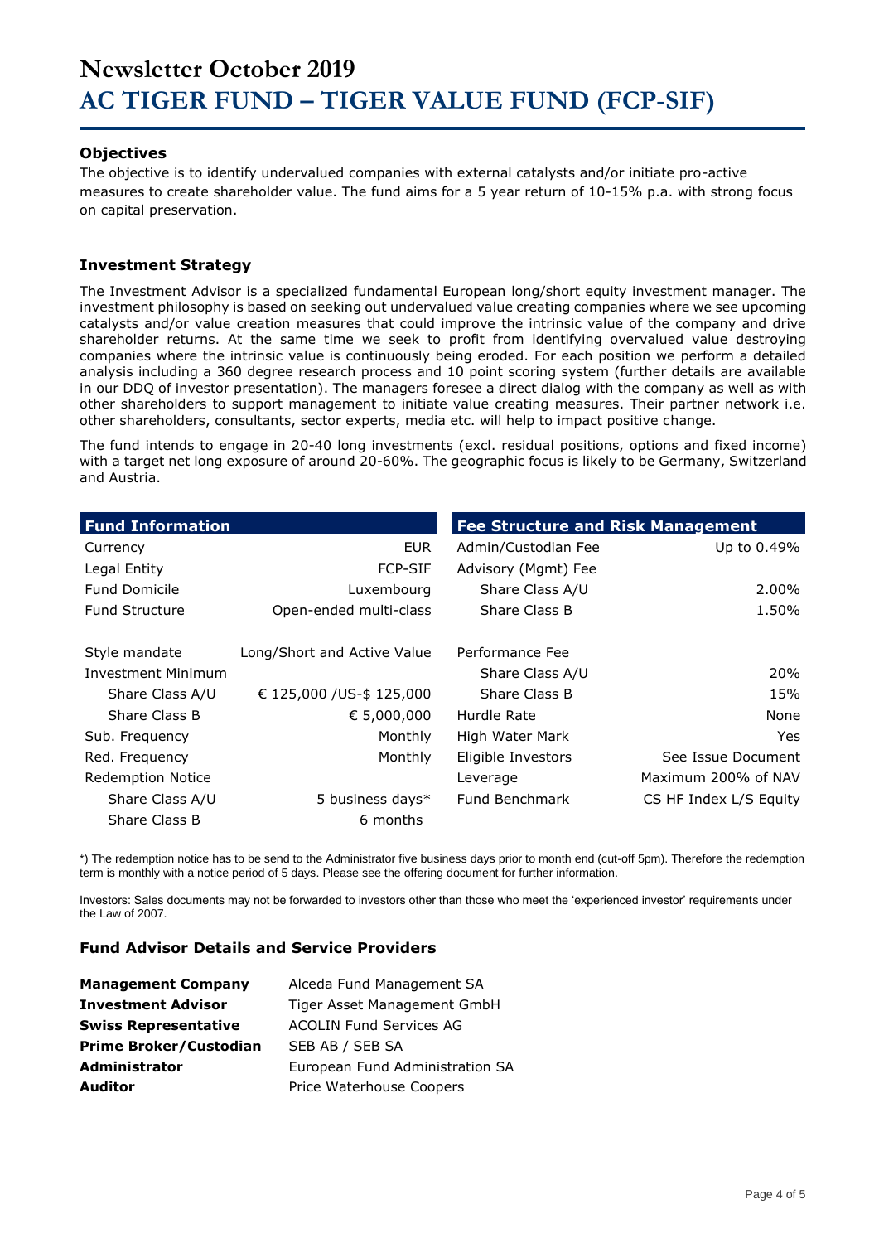#### **Objectives**

The objective is to identify undervalued companies with external catalysts and/or initiate pro-active measures to create shareholder value. The fund aims for a 5 year return of 10-15% p.a. with strong focus on capital preservation.

#### **Investment Strategy**

The Investment Advisor is a specialized fundamental European long/short equity investment manager. The investment philosophy is based on seeking out undervalued value creating companies where we see upcoming catalysts and/or value creation measures that could improve the intrinsic value of the company and drive shareholder returns. At the same time we seek to profit from identifying overvalued value destroying companies where the intrinsic value is continuously being eroded. For each position we perform a detailed analysis including a 360 degree research process and 10 point scoring system (further details are available in our DDQ of investor presentation). The managers foresee a direct dialog with the company as well as with other shareholders to support management to initiate value creating measures. Their partner network i.e. other shareholders, consultants, sector experts, media etc. will help to impact positive change.

The fund intends to engage in 20-40 long investments (excl. residual positions, options and fixed income) with a target net long exposure of around 20-60%. The geographic focus is likely to be Germany, Switzerland and Austria.

| <b>Fund Information</b>  |                             | <b>Fee Structure and Risk Management</b> |                        |
|--------------------------|-----------------------------|------------------------------------------|------------------------|
| Currency                 | <b>EUR</b>                  | Admin/Custodian Fee                      | Up to 0.49%            |
| Legal Entity             | <b>FCP-SIF</b>              | Advisory (Mgmt) Fee                      |                        |
| <b>Fund Domicile</b>     | Luxembourg                  | Share Class A/U                          | 2.00%                  |
| <b>Fund Structure</b>    | Open-ended multi-class      | Share Class B                            | 1.50%                  |
| Style mandate            | Long/Short and Active Value | Performance Fee                          |                        |
| Investment Minimum       |                             | Share Class A/U                          | 20%                    |
| Share Class A/U          | € 125,000 / US-\$ 125,000   | Share Class B                            | 15%                    |
| Share Class B            | € 5,000,000                 | Hurdle Rate                              | None                   |
| Sub. Frequency           | Monthly                     | High Water Mark                          | Yes.                   |
| Red. Frequency           | Monthly                     | Eligible Investors                       | See Issue Document     |
| <b>Redemption Notice</b> |                             | Leverage                                 | Maximum 200% of NAV    |
| Share Class A/U          | 5 business days*            | Fund Benchmark                           | CS HF Index L/S Equity |
| Share Class B            | 6 months                    |                                          |                        |

\*) The redemption notice has to be send to the Administrator five business days prior to month end (cut-off 5pm). Therefore the redemption term is monthly with a notice period of 5 days. Please see the offering document for further information.

Investors: Sales documents may not be forwarded to investors other than those who meet the 'experienced investor' requirements under the Law of 2007.

#### **Fund Advisor Details and Service Providers**

| <b>Management Company</b>     | Alceda Fund Management SA       |
|-------------------------------|---------------------------------|
| <b>Investment Advisor</b>     | Tiger Asset Management GmbH     |
| <b>Swiss Representative</b>   | <b>ACOLIN Fund Services AG</b>  |
| <b>Prime Broker/Custodian</b> | SEB AB / SEB SA                 |
| <b>Administrator</b>          | European Fund Administration SA |
| <b>Auditor</b>                | Price Waterhouse Coopers        |